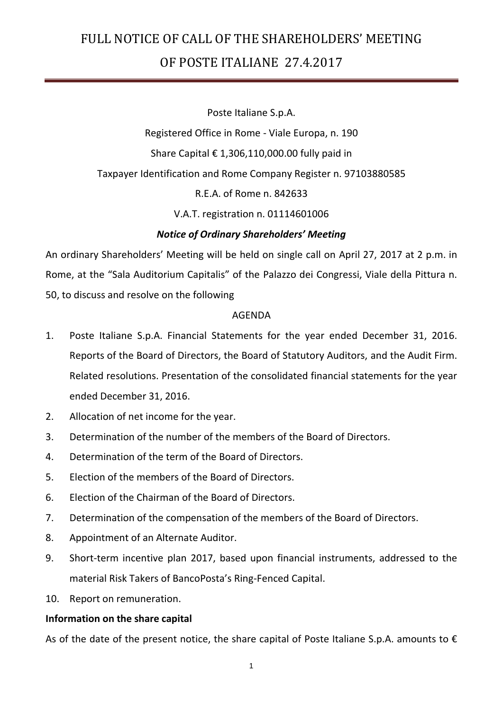Poste Italiane S.p.A.

Registered Office in Rome - Viale Europa, n. 190 Share Capital  $\epsilon$  1,306,110,000.00 fully paid in Taxpayer Identification and Rome Company Register n. 97103880585 R.E.A. of Rome n. 842633

V.A.T. registration n. 01114601006

### *Notice of Ordinary Shareholders' Meeting*

An ordinary Shareholders' Meeting will be held on single call on April 27, 2017 at 2 p.m. in Rome, at the "Sala Auditorium Capitalis" of the Palazzo dei Congressi, Viale della Pittura n. 50, to discuss and resolve on the following

### AGENDA

- 1. Poste Italiane S.p.A. Financial Statements for the year ended December 31, 2016. Reports of the Board of Directors, the Board of Statutory Auditors, and the Audit Firm. Related resolutions. Presentation of the consolidated financial statements for the year ended December 31, 2016.
- 2. Allocation of net income for the year.
- 3. Determination of the number of the members of the Board of Directors.
- 4. Determination of the term of the Board of Directors.
- 5. Election of the members of the Board of Directors.
- 6. Election of the Chairman of the Board of Directors.
- 7. Determination of the compensation of the members of the Board of Directors.
- 8. Appointment of an Alternate Auditor.
- 9. Short-term incentive plan 2017, based upon financial instruments, addressed to the material Risk Takers of BancoPosta's Ring-Fenced Capital.
- 10. Report on remuneration.

### **Information on the share capital**

As of the date of the present notice, the share capital of Poste Italiane S.p.A. amounts to  $\epsilon$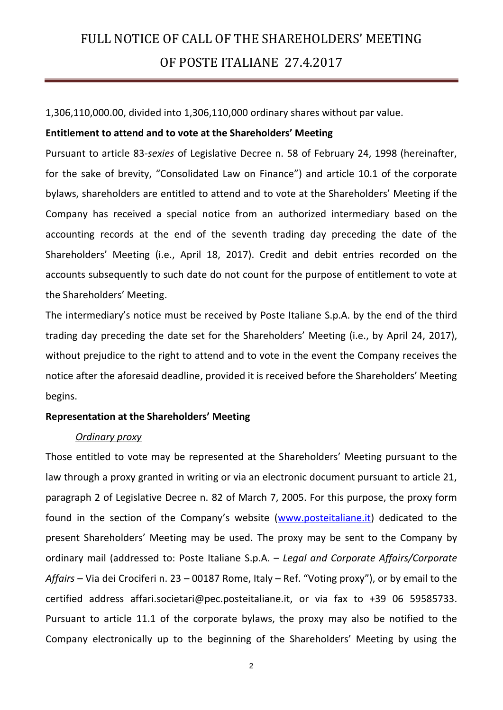1,306,110,000.00, divided into 1,306,110,000 ordinary shares without par value.

#### **Entitlement to attend and to vote at the Shareholders' Meeting**

Pursuant to article 83-*sexies* of Legislative Decree n. 58 of February 24, 1998 (hereinafter, for the sake of brevity, "Consolidated Law on Finance") and article 10.1 of the corporate bylaws, shareholders are entitled to attend and to vote at the Shareholders' Meeting if the Company has received a special notice from an authorized intermediary based on the accounting records at the end of the seventh trading day preceding the date of the Shareholders' Meeting (i.e., April 18, 2017). Credit and debit entries recorded on the accounts subsequently to such date do not count for the purpose of entitlement to vote at the Shareholders' Meeting.

The intermediary's notice must be received by Poste Italiane S.p.A. by the end of the third trading day preceding the date set for the Shareholders' Meeting (i.e., by April 24, 2017), without prejudice to the right to attend and to vote in the event the Company receives the notice after the aforesaid deadline, provided it is received before the Shareholders' Meeting begins.

#### **Representation at the Shareholders' Meeting**

#### *Ordinary proxy*

Those entitled to vote may be represented at the Shareholders' Meeting pursuant to the law through a proxy granted in writing or via an electronic document pursuant to article 21, paragraph 2 of Legislative Decree n. 82 of March 7, 2005. For this purpose, the proxy form found in the section of the Company's website [\(www.posteitaliane.it\)](http://www.posteitaliane.it/) dedicated to the present Shareholders' Meeting may be used. The proxy may be sent to the Company by ordinary mail (addressed to: Poste Italiane S.p.A. – *Legal and Corporate Affairs/Corporate Affairs* – Via dei Crociferi n. 23 – 00187 Rome, Italy – Ref. "Voting proxy"), or by email to the certified address affari.societari@pec.posteitaliane.it, or via fax to +39 06 59585733. Pursuant to article 11.1 of the corporate bylaws, the proxy may also be notified to the Company electronically up to the beginning of the Shareholders' Meeting by using the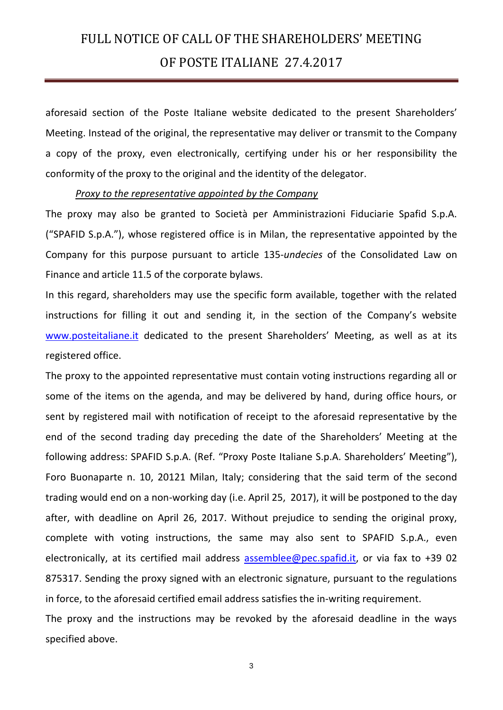aforesaid section of the Poste Italiane website dedicated to the present Shareholders' Meeting. Instead of the original, the representative may deliver or transmit to the Company a copy of the proxy, even electronically, certifying under his or her responsibility the conformity of the proxy to the original and the identity of the delegator.

#### *Proxy to the representative appointed by the Company*

The proxy may also be granted to Società per Amministrazioni Fiduciarie Spafid S.p.A. ("SPAFID S.p.A."), whose registered office is in Milan, the representative appointed by the Company for this purpose pursuant to article 135-*undecies* of the Consolidated Law on Finance and article 11.5 of the corporate bylaws.

In this regard, shareholders may use the specific form available, together with the related instructions for filling it out and sending it, in the section of the Company's website [www.posteitaliane.it](http://www.posteitaliane.it/) dedicated to the present Shareholders' Meeting, as well as at its registered office.

The proxy to the appointed representative must contain voting instructions regarding all or some of the items on the agenda, and may be delivered by hand, during office hours, or sent by registered mail with notification of receipt to the aforesaid representative by the end of the second trading day preceding the date of the Shareholders' Meeting at the following address: SPAFID S.p.A. (Ref. "Proxy Poste Italiane S.p.A. Shareholders' Meeting"), Foro Buonaparte n. 10, 20121 Milan, Italy; considering that the said term of the second trading would end on a non-working day (i.e. April 25, 2017), it will be postponed to the day after, with deadline on April 26, 2017. Without prejudice to sending the original proxy, complete with voting instructions, the same may also sent to SPAFID S.p.A., even electronically, at its certified mail address assemblee@pec.spafid.it, or via fax to +39 02 875317. Sending the proxy signed with an electronic signature, pursuant to the regulations in force, to the aforesaid certified email address satisfies the in-writing requirement.

The proxy and the instructions may be revoked by the aforesaid deadline in the ways specified above.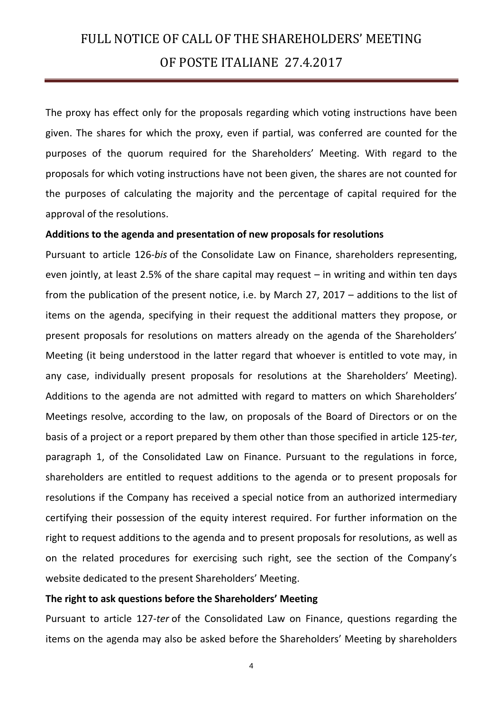The proxy has effect only for the proposals regarding which voting instructions have been given. The shares for which the proxy, even if partial, was conferred are counted for the purposes of the quorum required for the Shareholders' Meeting. With regard to the proposals for which voting instructions have not been given, the shares are not counted for the purposes of calculating the majority and the percentage of capital required for the approval of the resolutions.

#### **Additions to the agenda and presentation of new proposals for resolutions**

Pursuant to article 126-*bis* of the Consolidate Law on Finance, shareholders representing, even jointly, at least 2.5% of the share capital may request – in writing and within ten days from the publication of the present notice, i.e. by March 27, 2017 – additions to the list of items on the agenda, specifying in their request the additional matters they propose, or present proposals for resolutions on matters already on the agenda of the Shareholders' Meeting (it being understood in the latter regard that whoever is entitled to vote may, in any case, individually present proposals for resolutions at the Shareholders' Meeting). Additions to the agenda are not admitted with regard to matters on which Shareholders' Meetings resolve, according to the law, on proposals of the Board of Directors or on the basis of a project or a report prepared by them other than those specified in article 125-*ter*, paragraph 1, of the Consolidated Law on Finance. Pursuant to the regulations in force, shareholders are entitled to request additions to the agenda or to present proposals for resolutions if the Company has received a special notice from an authorized intermediary certifying their possession of the equity interest required. For further information on the right to request additions to the agenda and to present proposals for resolutions, as well as on the related procedures for exercising such right, see the section of the Company's website dedicated to the present Shareholders' Meeting.

#### **The right to ask questions before the Shareholders' Meeting**

Pursuant to article 127-*ter* of the Consolidated Law on Finance, questions regarding the items on the agenda may also be asked before the Shareholders' Meeting by shareholders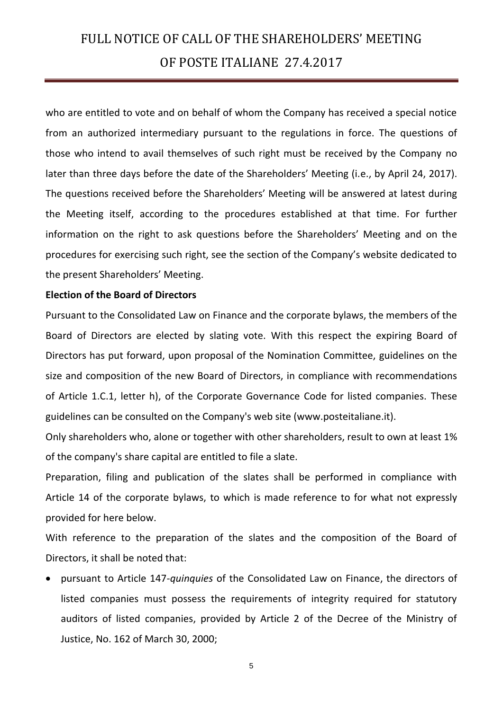who are entitled to vote and on behalf of whom the Company has received a special notice from an authorized intermediary pursuant to the regulations in force. The questions of those who intend to avail themselves of such right must be received by the Company no later than three days before the date of the Shareholders' Meeting (i.e., by April 24, 2017). The questions received before the Shareholders' Meeting will be answered at latest during the Meeting itself, according to the procedures established at that time. For further information on the right to ask questions before the Shareholders' Meeting and on the procedures for exercising such right, see the section of the Company's website dedicated to the present Shareholders' Meeting.

#### **Election of the Board of Directors**

Pursuant to the Consolidated Law on Finance and the corporate bylaws, the members of the Board of Directors are elected by slating vote. With this respect the expiring Board of Directors has put forward, upon proposal of the Nomination Committee, guidelines on the size and composition of the new Board of Directors, in compliance with recommendations of Article 1.C.1, letter h), of the Corporate Governance Code for listed companies. These guidelines can be consulted on the Company's web site (www.posteitaliane.it).

Only shareholders who, alone or together with other shareholders, result to own at least 1% of the company's share capital are entitled to file a slate.

Preparation, filing and publication of the slates shall be performed in compliance with Article 14 of the corporate bylaws, to which is made reference to for what not expressly provided for here below.

With reference to the preparation of the slates and the composition of the Board of Directors, it shall be noted that:

 pursuant to Article 147-*quinquies* of the Consolidated Law on Finance, the directors of listed companies must possess the requirements of integrity required for statutory auditors of listed companies, provided by Article 2 of the Decree of the Ministry of Justice, No. 162 of March 30, 2000;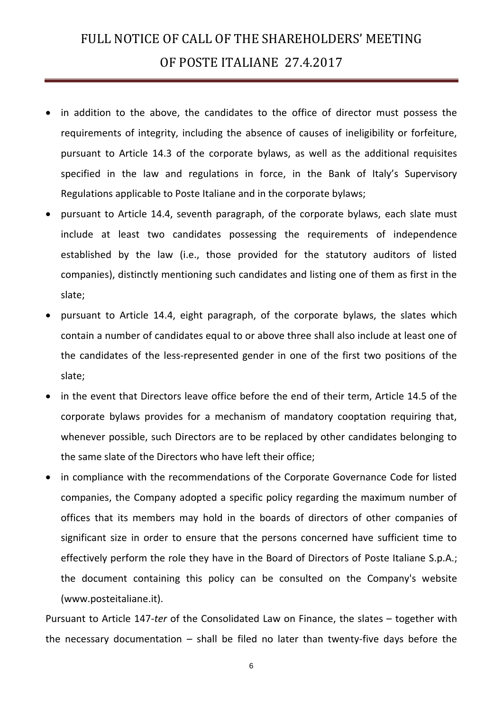- in addition to the above, the candidates to the office of director must possess the requirements of integrity, including the absence of causes of ineligibility or forfeiture, pursuant to Article 14.3 of the corporate bylaws, as well as the additional requisites specified in the law and regulations in force, in the Bank of Italy's Supervisory Regulations applicable to Poste Italiane and in the corporate bylaws;
- pursuant to Article 14.4, seventh paragraph, of the corporate bylaws, each slate must include at least two candidates possessing the requirements of independence established by the law (i.e., those provided for the statutory auditors of listed companies), distinctly mentioning such candidates and listing one of them as first in the slate;
- pursuant to Article 14.4, eight paragraph, of the corporate bylaws, the slates which contain a number of candidates equal to or above three shall also include at least one of the candidates of the less-represented gender in one of the first two positions of the slate;
- in the event that Directors leave office before the end of their term, Article 14.5 of the corporate bylaws provides for a mechanism of mandatory cooptation requiring that, whenever possible, such Directors are to be replaced by other candidates belonging to the same slate of the Directors who have left their office;
- in compliance with the recommendations of the Corporate Governance Code for listed companies, the Company adopted a specific policy regarding the maximum number of offices that its members may hold in the boards of directors of other companies of significant size in order to ensure that the persons concerned have sufficient time to effectively perform the role they have in the Board of Directors of Poste Italiane S.p.A.; the document containing this policy can be consulted on the Company's website (www.posteitaliane.it).

Pursuant to Article 147-*ter* of the Consolidated Law on Finance, the slates – together with the necessary documentation – shall be filed no later than twenty-five days before the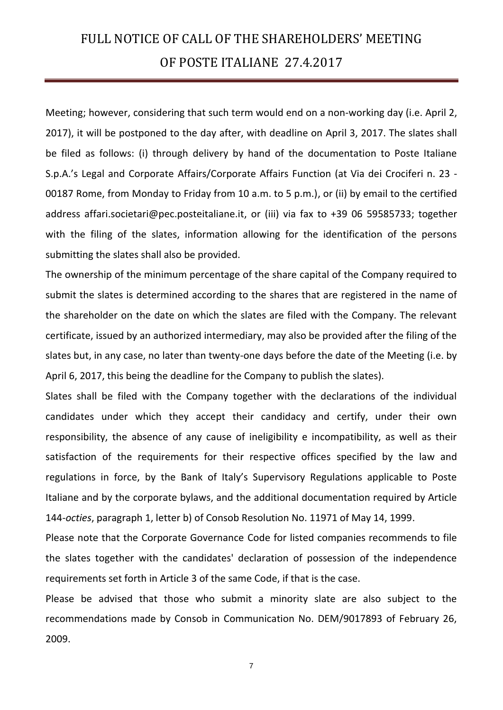Meeting; however, considering that such term would end on a non-working day (i.e. April 2, 2017), it will be postponed to the day after, with deadline on April 3, 2017. The slates shall be filed as follows: (i) through delivery by hand of the documentation to Poste Italiane S.p.A.'s Legal and Corporate Affairs/Corporate Affairs Function (at Via dei Crociferi n. 23 - 00187 Rome, from Monday to Friday from 10 a.m. to 5 p.m.), or (ii) by email to the certified address affari.societari@pec.posteitaliane.it, or (iii) via fax to +39 06 59585733; together with the filing of the slates, information allowing for the identification of the persons submitting the slates shall also be provided.

The ownership of the minimum percentage of the share capital of the Company required to submit the slates is determined according to the shares that are registered in the name of the shareholder on the date on which the slates are filed with the Company. The relevant certificate, issued by an authorized intermediary, may also be provided after the filing of the slates but, in any case, no later than twenty-one days before the date of the Meeting (i.e. by April 6, 2017, this being the deadline for the Company to publish the slates).

Slates shall be filed with the Company together with the declarations of the individual candidates under which they accept their candidacy and certify, under their own responsibility, the absence of any cause of ineligibility e incompatibility, as well as their satisfaction of the requirements for their respective offices specified by the law and regulations in force, by the Bank of Italy's Supervisory Regulations applicable to Poste Italiane and by the corporate bylaws, and the additional documentation required by Article 144-*octies*, paragraph 1, letter b) of Consob Resolution No. 11971 of May 14, 1999.

Please note that the Corporate Governance Code for listed companies recommends to file the slates together with the candidates' declaration of possession of the independence requirements set forth in Article 3 of the same Code, if that is the case.

Please be advised that those who submit a minority slate are also subject to the recommendations made by Consob in Communication No. DEM/9017893 of February 26, 2009.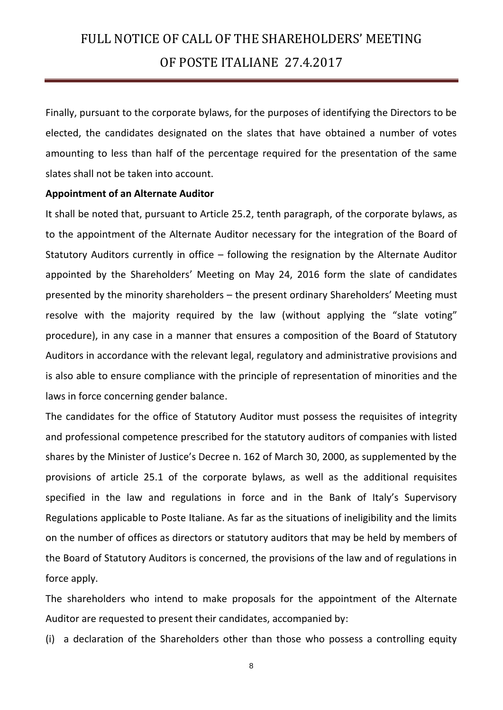Finally, pursuant to the corporate bylaws, for the purposes of identifying the Directors to be elected, the candidates designated on the slates that have obtained a number of votes amounting to less than half of the percentage required for the presentation of the same slates shall not be taken into account.

#### **Appointment of an Alternate Auditor**

It shall be noted that, pursuant to Article 25.2, tenth paragraph, of the corporate bylaws, as to the appointment of the Alternate Auditor necessary for the integration of the Board of Statutory Auditors currently in office – following the resignation by the Alternate Auditor appointed by the Shareholders' Meeting on May 24, 2016 form the slate of candidates presented by the minority shareholders – the present ordinary Shareholders' Meeting must resolve with the majority required by the law (without applying the "slate voting" procedure), in any case in a manner that ensures a composition of the Board of Statutory Auditors in accordance with the relevant legal, regulatory and administrative provisions and is also able to ensure compliance with the principle of representation of minorities and the laws in force concerning gender balance.

The candidates for the office of Statutory Auditor must possess the requisites of integrity and professional competence prescribed for the statutory auditors of companies with listed shares by the Minister of Justice's Decree n. 162 of March 30, 2000, as supplemented by the provisions of article 25.1 of the corporate bylaws, as well as the additional requisites specified in the law and regulations in force and in the Bank of Italy's Supervisory Regulations applicable to Poste Italiane. As far as the situations of ineligibility and the limits on the number of offices as directors or statutory auditors that may be held by members of the Board of Statutory Auditors is concerned, the provisions of the law and of regulations in force apply.

The shareholders who intend to make proposals for the appointment of the Alternate Auditor are requested to present their candidates, accompanied by:

(i) a declaration of the Shareholders other than those who possess a controlling equity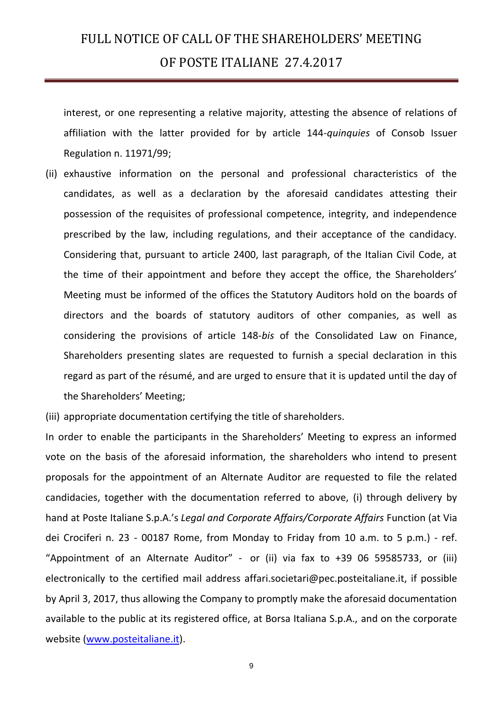interest, or one representing a relative majority, attesting the absence of relations of affiliation with the latter provided for by article 144-*quinquies* of Consob Issuer Regulation n. 11971/99;

(ii) exhaustive information on the personal and professional characteristics of the candidates, as well as a declaration by the aforesaid candidates attesting their possession of the requisites of professional competence, integrity, and independence prescribed by the law, including regulations, and their acceptance of the candidacy. Considering that, pursuant to article 2400, last paragraph, of the Italian Civil Code, at the time of their appointment and before they accept the office, the Shareholders' Meeting must be informed of the offices the Statutory Auditors hold on the boards of directors and the boards of statutory auditors of other companies, as well as considering the provisions of article 148-*bis* of the Consolidated Law on Finance, Shareholders presenting slates are requested to furnish a special declaration in this regard as part of the résumé, and are urged to ensure that it is updated until the day of the Shareholders' Meeting;

(iii) appropriate documentation certifying the title of shareholders.

In order to enable the participants in the Shareholders' Meeting to express an informed vote on the basis of the aforesaid information, the shareholders who intend to present proposals for the appointment of an Alternate Auditor are requested to file the related candidacies, together with the documentation referred to above, (i) through delivery by hand at Poste Italiane S.p.A.'s *Legal and Corporate Affairs/Corporate Affairs* Function (at Via dei Crociferi n. 23 - 00187 Rome, from Monday to Friday from 10 a.m. to 5 p.m.) - ref. "Appointment of an Alternate Auditor" - or (ii) via fax to +39 06 59585733, or (iii) electronically to the certified mail address affari.societari@pec.posteitaliane.it, if possible by April 3, 2017, thus allowing the Company to promptly make the aforesaid documentation available to the public at its registered office, at Borsa Italiana S.p.A., and on the corporate website [\(www.posteitaliane.it\)](http://www.posteitaliane.it/).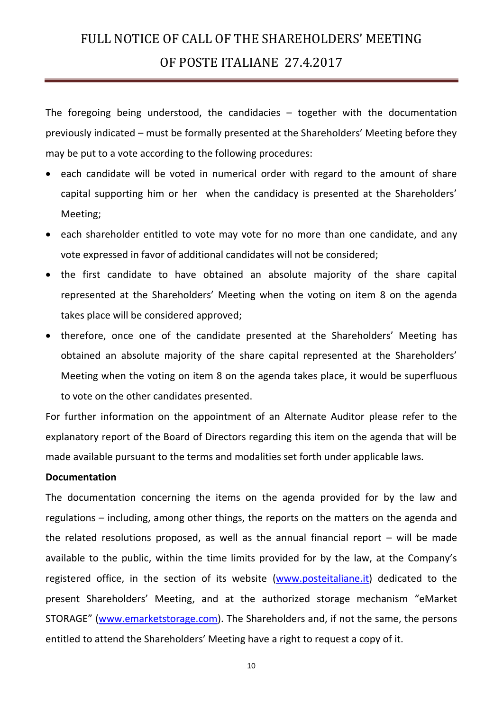The foregoing being understood, the candidacies – together with the documentation previously indicated – must be formally presented at the Shareholders' Meeting before they may be put to a vote according to the following procedures:

- each candidate will be voted in numerical order with regard to the amount of share capital supporting him or her when the candidacy is presented at the Shareholders' Meeting;
- each shareholder entitled to vote may vote for no more than one candidate, and any vote expressed in favor of additional candidates will not be considered;
- the first candidate to have obtained an absolute majority of the share capital represented at the Shareholders' Meeting when the voting on item 8 on the agenda takes place will be considered approved;
- therefore, once one of the candidate presented at the Shareholders' Meeting has obtained an absolute majority of the share capital represented at the Shareholders' Meeting when the voting on item 8 on the agenda takes place, it would be superfluous to vote on the other candidates presented.

For further information on the appointment of an Alternate Auditor please refer to the explanatory report of the Board of Directors regarding this item on the agenda that will be made available pursuant to the terms and modalities set forth under applicable laws.

#### **Documentation**

The documentation concerning the items on the agenda provided for by the law and regulations – including, among other things, the reports on the matters on the agenda and the related resolutions proposed, as well as the annual financial report  $-$  will be made available to the public, within the time limits provided for by the law, at the Company's registered office, in the section of its website [\(www.posteitaliane.it\)](http://www.poste.it/) dedicated to the present Shareholders' Meeting, and at the authorized storage mechanism "eMarket STORAGE" ([www.emarketstorage.com\)](http://www.emarketstorage.com/). The Shareholders and, if not the same, the persons entitled to attend the Shareholders' Meeting have a right to request a copy of it.